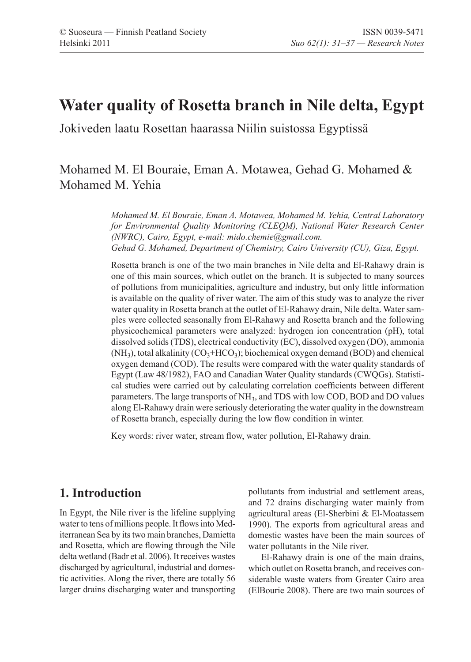# **Water quality of Rosetta branch in Nile delta, Egypt**

Jokiveden laatu Rosettan haarassa Niilin suistossa Egyptissä

## Mohamed M. El Bouraie, Eman A. Motawea, Gehad G. Mohamed & Mohamed M. Yehia

*Mohamed M. El Bouraie, Eman A. Motawea, Mohamed M. Yehia, Central Laboratory for Environmental Quality Monitoring (CLEQM), National Water Research Center (NWRC), Cairo, Egypt, e-mail: mido.chemie@gmail.com. Gehad G. Mohamed, Department of Chemistry, Cairo University (CU), Giza, Egypt.*

Rosetta branch is one of the two main branches in Nile delta and El-Rahawy drain is one of this main sources, which outlet on the branch. It is subjected to many sources of pollutions from municipalities, agriculture and industry, but only little information is available on the quality of river water. The aim of this study was to analyze the river water quality in Rosetta branch at the outlet of El-Rahawy drain, Nile delta. Water samples were collected seasonally from El-Rahawy and Rosetta branch and the following physicochemical parameters were analyzed: hydrogen ion concentration (pH), total dissolved solids (TDS), electrical conductivity (EC), dissolved oxygen (DO), ammonia  $(NH_3)$ , total alkalinity  $(CO_3 + HCO_3)$ ; biochemical oxygen demand (BOD) and chemical oxygen demand (COD). The results were compared with the water quality standards of Egypt (Law 48/1982), FAO and Canadian Water Quality standards (CWQGs). Statistical studies were carried out by calculating correlation coefficients between different parameters. The large transports of NH<sub>3</sub>, and TDS with low COD, BOD and DO values along El-Rahawy drain were seriously deteriorating the water quality in the downstream of Rosetta branch, especially during the low flow condition in winter.

Key words: river water, stream flow, water pollution, El-Rahawy drain.

### **1. Introduction**

In Egypt, the Nile river is the lifeline supplying water to tens of millions people. It flows into Mediterranean Sea by its two main branches, Damietta and Rosetta, which are flowing through the Nile delta wetland (Badr et al. 2006). It receives wastes discharged by agricultural, industrial and domestic activities. Along the river, there are totally 56 larger drains discharging water and transporting pollutants from industrial and settlement areas, and 72 drains discharging water mainly from agricultural areas (El-Sherbini & El-Moatassem 1990). The exports from agricultural areas and domestic wastes have been the main sources of water pollutants in the Nile river.

El-Rahawy drain is one of the main drains, which outlet on Rosetta branch, and receives considerable waste waters from Greater Cairo area (ElBourie 2008). There are two main sources of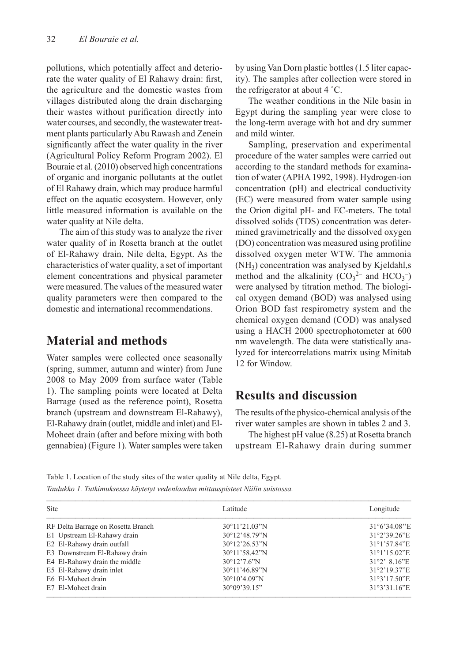pollutions, which potentially affect and deteriorate the water quality of El Rahawy drain: first, the agriculture and the domestic wastes from villages distributed along the drain discharging their wastes without purification directly into water courses, and secondly, the wastewater treatment plants particularly Abu Rawash and Zenein significantly affect the water quality in the river (Agricultural Policy Reform Program 2002). El Bouraie et al. (2010) observed high concentrations of organic and inorganic pollutants at the outlet of El Rahawy drain, which may produce harmful effect on the aquatic ecosystem. However, only little measured information is available on the water quality at Nile delta.

The aim of this study was to analyze the river water quality of in Rosetta branch at the outlet of El-Rahawy drain, Nile delta, Egypt. As the characteristics of water quality, a set of important element concentrations and physical parameter were measured. The values of the measured water quality parameters were then compared to the domestic and international recommendations.

### **Material and methods**

Water samples were collected once seasonally (spring, summer, autumn and winter) from June 2008 to May 2009 from surface water (Table 1). The sampling points were located at Delta Barrage (used as the reference point), Rosetta branch (upstream and downstream El-Rahawy), El-Rahawy drain (outlet, middle and inlet) and El-Moheet drain (after and before mixing with both gennabiea) (Figure 1). Water samples were taken

by using Van Dorn plastic bottles (1.5 liter capacity). The samples after collection were stored in the refrigerator at about 4 ˚C.

The weather conditions in the Nile basin in Egypt during the sampling year were close to the long-term average with hot and dry summer and mild winter.

Sampling, preservation and experimental procedure of the water samples were carried out according to the standard methods for examination of water (APHA 1992, 1998). Hydrogen-ion concentration (pH) and electrical conductivity (EC) were measured from water sample using the Orion digital pH- and EC-meters. The total dissolved solids (TDS) concentration was determined gravimetrically and the dissolved oxygen (DO) concentration was measured using profiline dissolved oxygen meter WTW. The ammonia  $(NH<sub>3</sub>)$  concentration was analysed by Kjeldahl,s method and the alkalinity  $(CO_3^2$  and  $HCO_3^-$ ) were analysed by titration method. The biological oxygen demand (BOD) was analysed using Orion BOD fast respirometry system and the chemical oxygen demand (COD) was analysed using a HACH 2000 spectrophotometer at 600 nm wavelength. The data were statistically analyzed for intercorrelations matrix using Minitab 12 for Window.

#### **Results and discussion**

The results of the physico-chemical analysis of the river water samples are shown in tables 2 and 3.

The highest pH value (8.25) at Rosetta branch upstream El-Rahawy drain during summer

Table 1. Location of the study sites of the water quality at Nile delta, Egypt. *Taulukko 1. Tutkimuksessa käytetyt vedenlaadun mittauspisteet Niilin suistossa.*

| Site                               | Latitude                | Longitude                   |  |
|------------------------------------|-------------------------|-----------------------------|--|
| RF Delta Barrage on Rosetta Branch | $30^{\circ}11'21.03''N$ | $31^{\circ}6'34.08''E$      |  |
| E1 Upstream El-Rahawy drain        | 30°12'48.79"N           | 31°2'39.26"E                |  |
| E2 El-Rahawy drain outfall         | $30^{\circ}12'26.53''N$ | 31°1'57.84"E                |  |
| E3 Downstream El-Rahawy drain      | 30°11'58.42"N           | 31°1'15.02"E                |  |
| E4 El-Rahawy drain the middle      | $30^{\circ}12'7.6''$ N  | $31°2'$ 8.16 <sup>"</sup> E |  |
| E5 El-Rahawy drain inlet           | 30°11'46.89"N           | 31°2'19.37"E                |  |
| E6 El-Moheet drain                 | $30^{\circ}10'4.09''$ N | 31°3'17.50"E                |  |
| E7 El-Moheet drain                 | 30°09'39.15"            | 31°3'31.16"E                |  |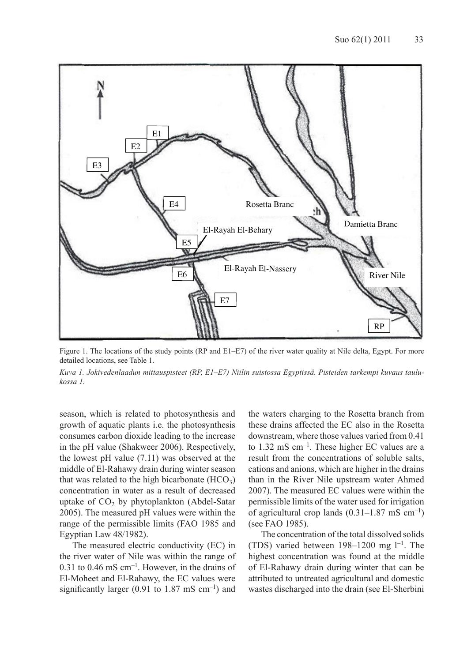

Figure 1. The locations of the study points (RP and E1–E7) of the river water quality at Nile delta, Egypt. For more detailed locations, see Table 1.

*Kuva 1. Jokivedenlaadun mittauspisteet (RP, E1–E7) Niilin suistossa Egyptissä. Pisteiden tarkempi kuvaus taulukossa 1.* 

season, which is related to photosynthesis and growth of aquatic plants i.e. the photosynthesis consumes carbon dioxide leading to the increase in the pH value (Shakweer 2006). Respectively, the lowest pH value (7.11) was observed at the middle of El-Rahawy drain during winter season that was related to the high bicarbonate  $(HCO<sub>3</sub>)$ concentration in water as a result of decreased uptake of  $CO<sub>2</sub>$  by phytoplankton (Abdel-Satar 2005). The measured pH values were within the range of the permissible limits (FAO 1985 and Egyptian Law 48/1982).

The measured electric conductivity (EC) in the river water of Nile was within the range of  $0.31$  to  $0.46$  mS cm<sup>-1</sup>. However, in the drains of El-Moheet and El-Rahawy, the EC values were significantly larger (0.91 to 1.87 mS  $cm^{-1}$ ) and

the waters charging to the Rosetta branch from these drains affected the EC also in the Rosetta downstream, where those values varied from 0.41 to 1.32 mS cm–1. These higher EC values are a result from the concentrations of soluble salts, cations and anions, which are higher in the drains than in the River Nile upstream water Ahmed 2007). The measured EC values were within the permissible limits of the water used for irrigation of agricultural crop lands  $(0.31-1.87 \text{ mS cm}^{-1})$ (see FAO 1985).

The concentration of the total dissolved solids (TDS) varied between  $198-1200$  mg  $1^{-1}$ . The highest concentration was found at the middle of El-Rahawy drain during winter that can be attributed to untreated agricultural and domestic wastes discharged into the drain (see El-Sherbini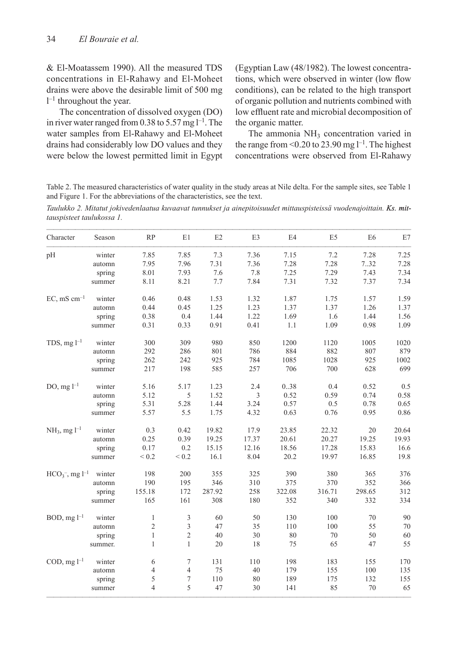& El-Moatassem 1990). All the measured TDS concentrations in El-Rahawy and El-Moheet drains were above the desirable limit of 500 mg  $l^{-1}$  throughout the year.

The concentration of dissolved oxygen (DO) in river water ranged from 0.38 to 5.57 mg  $l^{-1}$ . The water samples from El-Rahawy and El-Moheet drains had considerably low DO values and they were below the lowest permitted limit in Egypt (Egyptian Law (48/1982). The lowest concentrations, which were observed in winter (low flow conditions), can be related to the high transport of organic pollution and nutrients combined with low effluent rate and microbial decomposition of the organic matter.

The ammonia  $NH<sub>3</sub>$  concentration varied in the range from  $\leq 0.20$  to 23.90 mg  $l^{-1}$ . The highest concentrations were observed from El-Rahawy

Table 2. The measured characteristics of water quality in the study areas at Nile delta. For the sample sites, see Table 1 and Figure 1. For the abbreviations of the characteristics, see the text.

*Taulukko 2. Mitatut jokivedenlaatua kuvaavat tunnukset ja ainepitoisuudet mittauspisteissä vuodenajoittain. Ks. mit mittauspisteet taulukossa 1.*

| Character                      | Season  | RP             | E1               | E2     | E3    | E4     | E <sub>5</sub> | E <sub>6</sub> | E7    |
|--------------------------------|---------|----------------|------------------|--------|-------|--------|----------------|----------------|-------|
| pH                             | winter  | 7.85           | 7.85             | 7.3    | 7.36  | 7.15   | 7.2            | 7.28           | 7.25  |
|                                | automn  | 7.95           | 7.96             | 7.31   | 7.36  | 7.28   | 7.28           | 7.32           | 7.28  |
|                                | spring  | 8.01           | 7.93             | 7.6    | 7.8   | 7.25   | 7.29           | 7.43           | 7.34  |
|                                | summer  | 8.11           | 8.21             | 7.7    | 7.84  | 7.31   | 7.32           | 7.37           | 7.34  |
| $EC, mS$ cm <sup>-1</sup>      | winter  | 0.46           | 0.48             | 1.53   | 1.32  | 1.87   | 1.75           | 1.57           | 1.59  |
|                                | automn  | 0.44           | 0.45             | 1.25   | 1.23  | 1.37   | 1.37           | 1.26           | 1.37  |
|                                | spring  | 0.38           | 0.4              | 1.44   | 1.22  | 1.69   | 1.6            | 1.44           | 1.56  |
|                                | summer  | 0.31           | 0.33             | 0.91   | 0.41  | 1.1    | 1.09           | 0.98           | 1.09  |
| TDS, $mg l^{-1}$               | winter  | 300            | 309              | 980    | 850   | 1200   | 1120           | 1005           | 1020  |
|                                | automn  | 292            | 286              | 801    | 786   | 884    | 882            | 807            | 879   |
|                                | spring  | 262            | 242              | 925    | 784   | 1085   | 1028           | 925            | 1002  |
|                                | summer  | 217            | 198              | 585    | 257   | 706    | 700            | 628            | 699   |
| DO, $mg l^{-1}$                | winter  | 5.16           | 5.17             | 1.23   | 2.4   | 0.38   | 0.4            | 0.52           | 0.5   |
|                                | automn  | 5.12           | 5                | 1.52   | 3     | 0.52   | 0.59           | 0.74           | 0.58  |
|                                | spring  | 5.31           | 5.28             | 1.44   | 3.24  | 0.57   | 0.5            | 0.78           | 0.65  |
|                                | summer  | 5.57           | 5.5              | 1.75   | 4.32  | 0.63   | 0.76           | 0.95           | 0.86  |
| $NH_3$ , mg $l^{-1}$           | winter  | 0.3            | 0.42             | 19.82  | 17.9  | 23.85  | 22.32          | 20             | 20.64 |
|                                | automn  | 0.25           | 0.39             | 19.25  | 17.37 | 20.61  | 20.27          | 19.25          | 19.93 |
|                                | spring  | 0.17           | 0.2              | 15.15  | 12.16 | 18.56  | 17.28          | 15.83          | 16.6  |
|                                | summer  | ${}< 0.2$      | $< 0.2$          | 16.1   | 8.04  | 20.2   | 19.97          | 16.85          | 19.8  |
| $HCO_3^-$ , mg l <sup>-1</sup> | winter  | 198            | 200              | 355    | 325   | 390    | 380            | 365            | 376   |
|                                | automn  | 190            | 195              | 346    | 310   | 375    | 370            | 352            | 366   |
|                                | spring  | 155.18         | 172              | 287.92 | 258   | 322.08 | 316.71         | 298.65         | 312   |
|                                | summer  | 165            | 161              | 308    | 180   | 352    | 340            | 332            | 334   |
| $BOD, mg l^{-1}$               | winter  | $\mathbf{1}$   | 3                | 60     | 50    | 130    | 100            | 70             | 90    |
|                                | automn  | $\sqrt{2}$     | 3                | 47     | 35    | 110    | 100            | 55             | 70    |
|                                | spring  | $\mathbf{1}$   | $\sqrt{2}$       | 40     | 30    | 80     | 70             | 50             | 60    |
|                                | summer. | $\mathbf{1}$   | $\mathbf{1}$     | 20     | 18    | 75     | 65             | 47             | 55    |
| COD, $mg l^{-1}$               | winter  | 6              | $\tau$           | 131    | 110   | 198    | 183            | 155            | 170   |
|                                | automn  | $\overline{4}$ | $\overline{4}$   | 75     | 40    | 179    | 155            | 100            | 135   |
|                                | spring  | 5              | $\boldsymbol{7}$ | 110    | 80    | 189    | 175            | 132            | 155   |
|                                | summer  | $\overline{4}$ | 5                | 47     | 30    | 141    | 85             | 70             | 65    |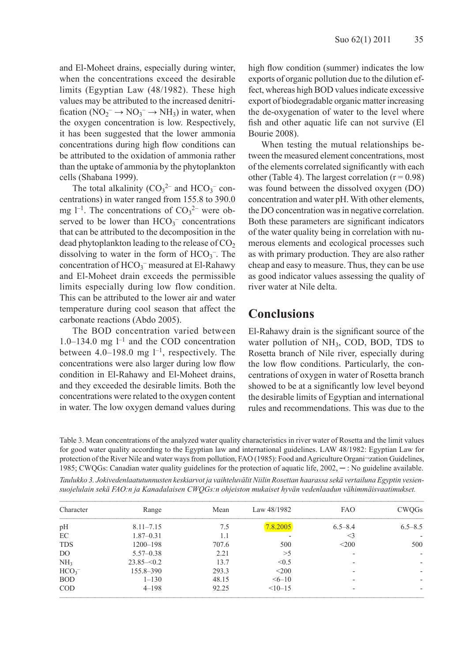and El-Moheet drains, especially during winter, when the concentrations exceed the desirable limits (Egyptian Law (48/1982). These high values may be attributed to the increased denitrification  $(NO_2^- \rightarrow NO_3^- \rightarrow NH_3)$  in water, when the oxygen concentration is low. Respectively, it has been suggested that the lower ammonia concentrations during high flow conditions can be attributed to the oxidation of ammonia rather than the uptake of ammonia by the phytoplankton cells (Shabana 1999).

The total alkalinity  $(CO_3^2$  and  $HCO_3^-$  concentrations) in water ranged from 155.8 to 390.0 mg  $l^{-1}$ . The concentrations of  $CO_3^2$  were observed to be lower than  $HCO_3^-$  concentrations that can be attributed to the decomposition in the dead phytoplankton leading to the release of  $CO<sub>2</sub>$ dissolving to water in the form of  $HCO_3^-$ . The concentration of HCO<sub>3</sub><sup>-</sup> measured at El-Rahawy and El-Moheet drain exceeds the permissible limits especially during low flow condition. This can be attributed to the lower air and water temperature during cool season that affect the carbonate reactions (Abdo 2005).

The BOD concentration varied between  $1.0-134.0$  mg  $1^{-1}$  and the COD concentration between  $4.0-198.0$  mg  $1^{-1}$ , respectively. The concentrations were also larger during low flow condition in El-Rahawy and El-Moheet drains, and they exceeded the desirable limits. Both the concentrations were related to the oxygen content in water. The low oxygen demand values during high flow condition (summer) indicates the low exports of organic pollution due to the dilution effect, whereas high BOD values indicate excessive export of biodegradable organic matter increasing the de-oxygenation of water to the level where fish and other aquatic life can not survive (El Bourie 2008).

When testing the mutual relationships between the measured element concentrations, most of the elements correlated significantly with each other (Table 4). The largest correlation  $(r = 0.98)$ was found between the dissolved oxygen (DO) concentration and water pH. With other elements, the DO concentration was in negative correlation. Both these parameters are significant indicators of the water quality being in correlation with numerous elements and ecological processes such as with primary production. They are also rather cheap and easy to measure. Thus, they can be use as good indicator values assessing the quality of river water at Nile delta.

#### **Conclusions**

El-Rahawy drain is the significant source of the water pollution of  $NH<sub>3</sub>$ , COD, BOD, TDS to Rosetta branch of Nile river, especially during the low flow conditions. Particularly, the concentrations of oxygen in water of Rosetta branch showed to be at a significantly low level beyond the desirable limits of Egyptian and international rules and recommendations. This was due to the

Table 3. Mean concentrations of the analyzed water quality characteristics in river water of Rosetta and the limit values for good water quality according to the Egyptian law and international guidelines. LAW 48/1982: Egyptian Law for protection of the River Nile and water ways from pollution, FAO (1985): Food and Agriculture Organi¬zation Guidelines, 1985; CWQGs: Canadian water quality guidelines for the protection of aquatic life, 2002, ─ : No guideline available.

*Taulukko 3. Jokivedenlaatutunnusten keskiarvot ja vaihteluvälit Niilin Rosettan haarassa sekä vertailuna Egyptin vesiensuojelulain sekä FAO:n ja Kanadalaisen CWQGs:n ohjeiston mukaiset hyvän vedenlaadun vähimmäisvaatimukset.* 

| <b>CWQGs</b>             | <b>FAO</b>  | Law 48/1982 | Mean  | Range         | Character        |  |
|--------------------------|-------------|-------------|-------|---------------|------------------|--|
| $6.5 - 8.5$              | $6.5 - 8.4$ | 7.8.2005    | 7.5   | $8.11 - 7.15$ | pH               |  |
|                          | $\leq$ 3    |             | 1.1   | $1.87 - 0.31$ | EC               |  |
| 500                      | $<$ 200     | 500         | 707.6 | $1200 - 198$  | <b>TDS</b>       |  |
| $\sim$                   |             | >5          | 2.21  | $5.57 - 0.38$ | D <sub>O</sub>   |  |
| ۰.                       |             | < 0.5       | 13.7  | $23.85 - 0.2$ | NH <sub>3</sub>  |  |
| $\sim$                   |             | $<$ 200     | 293.3 | 155.8-390     | HCO <sub>3</sub> |  |
| $\overline{\phantom{a}}$ | ۰           | $56 - 10$   | 48.15 | $1 - 130$     | <b>BOD</b>       |  |
|                          |             | $<10-15$    | 92.25 | $4 - 198$     | <b>COD</b>       |  |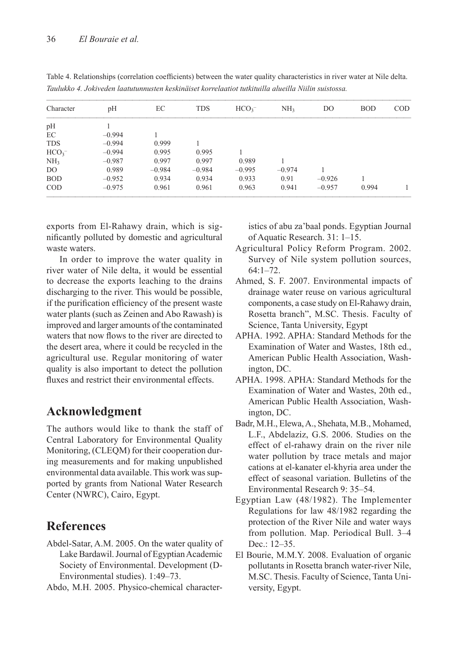| Character        | pH       | EС       | <b>TDS</b> | HCO <sub>3</sub> | NH <sub>3</sub> | D <sub>O</sub> | <b>BOD</b> | <b>COD</b> |
|------------------|----------|----------|------------|------------------|-----------------|----------------|------------|------------|
| pH               |          |          |            |                  |                 |                |            |            |
| EC               | $-0.994$ |          |            |                  |                 |                |            |            |
| <b>TDS</b>       | $-0.994$ | 0.999    |            |                  |                 |                |            |            |
| HCO <sub>3</sub> | $-0.994$ | 0.995    | 0.995      |                  |                 |                |            |            |
| NH <sub>3</sub>  | $-0.987$ | 0.997    | 0.997      | 0.989            |                 |                |            |            |
| DO.              | 0.989    | $-0.984$ | $-0.984$   | $-0.995$         | $-0.974$        |                |            |            |
| <b>BOD</b>       | $-0.952$ | 0.934    | 0.934      | 0.933            | 0.91            | $-0.926$       |            |            |
| <b>COD</b>       | $-0.975$ | 0.961    | 0.961      | 0.963            | 0.941           | $-0.957$       | 0.994      |            |

Table 4. Relationships (correlation coefficients) between the water quality characteristics in river water at Nile delta. *Taulukko 4. Jokiveden laatutunnusten keskinäiset korrelaatiot tutkituilla alueilla Niilin suistossa.*

exports from El-Rahawy drain, which is significantly polluted by domestic and agricultural waste waters.

In order to improve the water quality in river water of Nile delta, it would be essential to decrease the exports leaching to the drains discharging to the river. This would be possible, if the purification efficiency of the present waste water plants (such as Zeinen and Abo Rawash) is improved and larger amounts of the contaminated waters that now flows to the river are directed to the desert area, where it could be recycled in the agricultural use. Regular monitoring of water quality is also important to detect the pollution fluxes and restrict their environmental effects.

### **Acknowledgment**

The authors would like to thank the staff of Central Laboratory for Environmental Quality Monitoring, (CLEQM) for their cooperation during measurements and for making unpublished environmental data available. This work was supported by grants from National Water Research Center (NWRC), Cairo, Egypt.

### **References**

Abdel-Satar, A.M. 2005. On the water quality of Lake Bardawil. Journal of Egyptian Academic Society of Environmental. Development (D-Environmental studies). 1:49–73.

Abdo, M.H. 2005. Physico-chemical character-

istics of abu za'baal ponds. Egyptian Journal of Aquatic Research. 31: 1–15.

- Agricultural Policy Reform Program. 2002. Survey of Nile system pollution sources, 64:1–72.
- Ahmed, S. F. 2007. Environmental impacts of drainage water reuse on various agricultural components, a case study on El-Rahawy drain, Rosetta branch", M.SC. Thesis. Faculty of Science, Tanta University, Egypt
- APHA. 1992. APHA: Standard Methods for the Examination of Water and Wastes, 18th ed., American Public Health Association, Washington, DC.
- APHA. 1998. APHA: Standard Methods for the Examination of Water and Wastes, 20th ed., American Public Health Association, Washington, DC.
- Badr, M.H., Elewa, A., Shehata, M.B., Mohamed, L.F., Abdelaziz, G.S. 2006. Studies on the effect of el-rahawy drain on the river nile water pollution by trace metals and major cations at el-kanater el-khyria area under the effect of seasonal variation. Bulletins of the Environmental Research 9: 35–54.
- Egyptian Law (48/1982). The Implementer Regulations for law 48/1982 regarding the protection of the River Nile and water ways from pollution. Map. Periodical Bull. 3–4 Dec.: 12–35.
- El Bourie, M.M.Y. 2008. Evaluation of organic pollutants in Rosetta branch water-river Nile, M.SC. Thesis. Faculty of Science, Tanta University, Egypt.